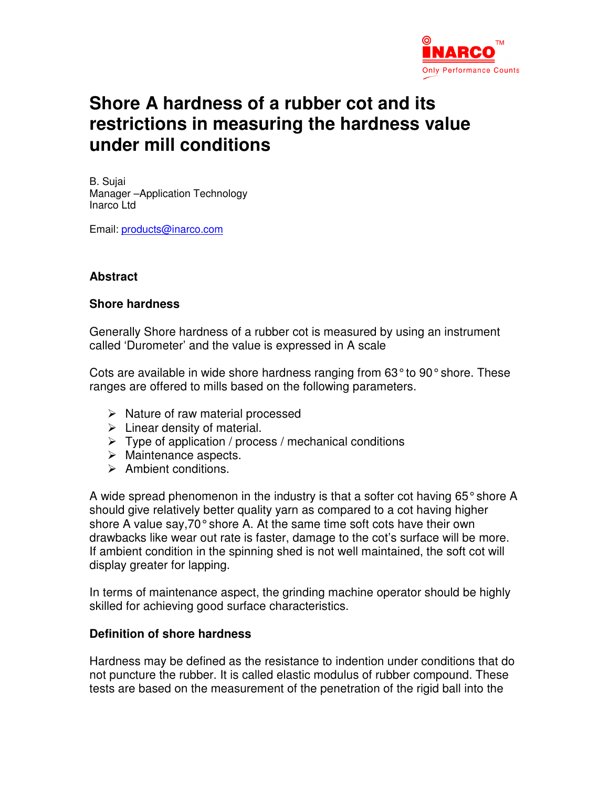

## **Shore A hardness of a rubber cot and its restrictions in measuring the hardness value under mill conditions**

B. Sujai Manager –Application Technology Inarco Ltd

Email: products@inarco.com

### **Abstract**

#### **Shore hardness**

Generally Shore hardness of a rubber cot is measured by using an instrument called 'Durometer' and the value is expressed in A scale

Cots are available in wide shore hardness ranging from 63° to 90° shore. These ranges are offered to mills based on the following parameters.

- $\triangleright$  Nature of raw material processed
- $\triangleright$  Linear density of material.
- $\triangleright$  Type of application / process / mechanical conditions
- $\triangleright$  Maintenance aspects.
- $\triangleright$  Ambient conditions.

A wide spread phenomenon in the industry is that a softer cot having 65° shore A should give relatively better quality yarn as compared to a cot having higher shore A value say,70° shore A. At the same time soft cots have their own drawbacks like wear out rate is faster, damage to the cot's surface will be more. If ambient condition in the spinning shed is not well maintained, the soft cot will display greater for lapping.

In terms of maintenance aspect, the grinding machine operator should be highly skilled for achieving good surface characteristics.

#### **Definition of shore hardness**

Hardness may be defined as the resistance to indention under conditions that do not puncture the rubber. It is called elastic modulus of rubber compound. These tests are based on the measurement of the penetration of the rigid ball into the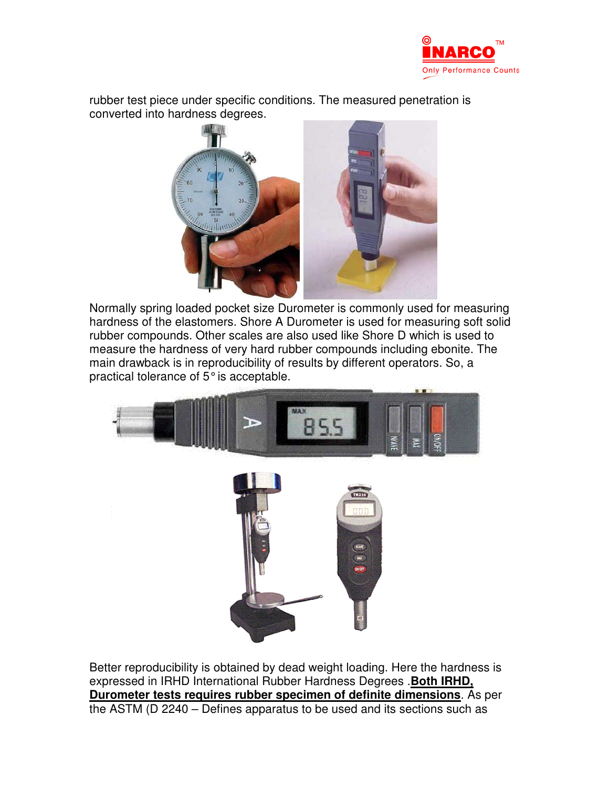

rubber test piece under specific conditions. The measured penetration is converted into hardness degrees.



Normally spring loaded pocket size Durometer is commonly used for measuring hardness of the elastomers. Shore A Durometer is used for measuring soft solid rubber compounds. Other scales are also used like Shore D which is used to measure the hardness of very hard rubber compounds including ebonite. The main drawback is in reproducibility of results by different operators. So, a practical tolerance of 5° is acceptable.



Better reproducibility is obtained by dead weight loading. Here the hardness is expressed in IRHD International Rubber Hardness Degrees .**Both IRHD, Durometer tests requires rubber specimen of definite dimensions**. As per the ASTM (D 2240 – Defines apparatus to be used and its sections such as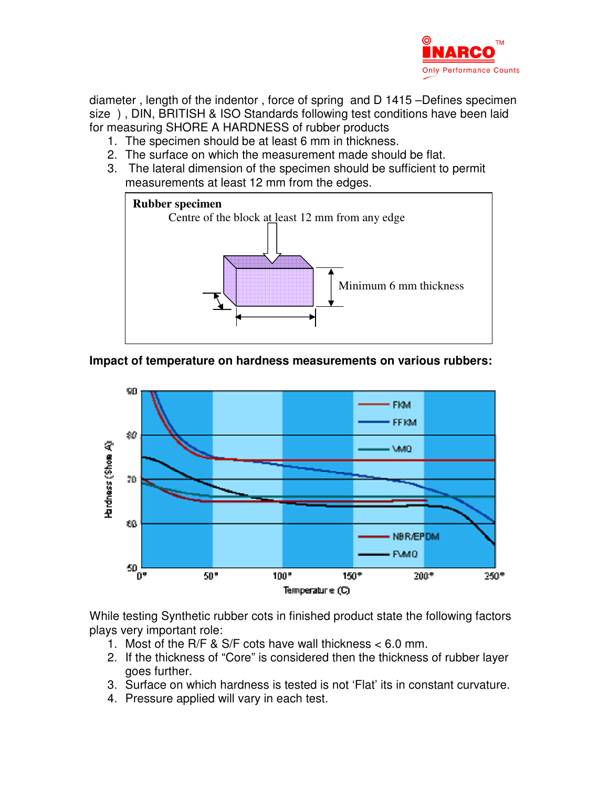

diameter , length of the indentor , force of spring and D 1415 –Defines specimen size ) , DIN, BRITISH & ISO Standards following test conditions have been laid for measuring SHORE A HARDNESS of rubber products

- 1. The specimen should be at least 6 mm in thickness.
- 2. The surface on which the measurement made should be flat.
- 3. The lateral dimension of the specimen should be sufficient to permit measurements at least 12 mm from the edges.



## **Impact of temperature on hardness measurements on various rubbers:**



While testing Synthetic rubber cots in finished product state the following factors plays very important role:

- 1. Most of the R/F & S/F cots have wall thickness < 6.0 mm.
- 2. If the thickness of "Core" is considered then the thickness of rubber layer goes further.
- 3. Surface on which hardness is tested is not 'Flat' its in constant curvature.
- 4. Pressure applied will vary in each test.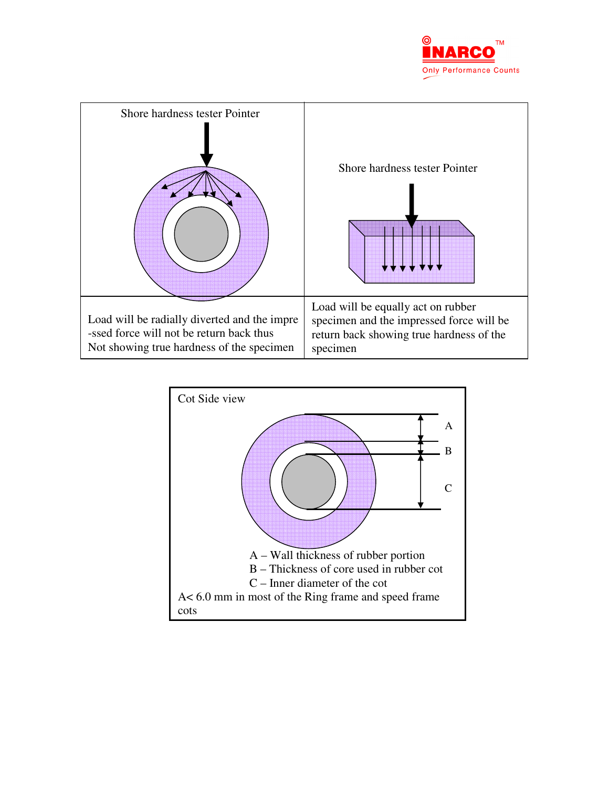